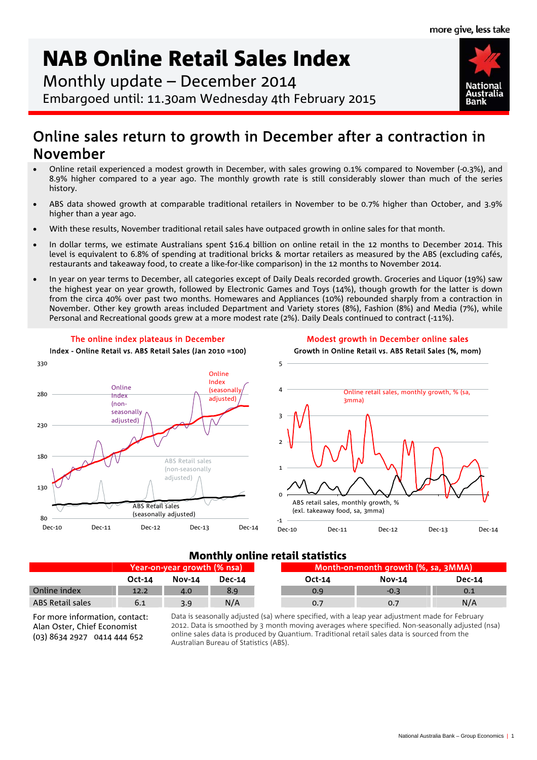**National** 

# NAB Online Retail Sales Index

Monthly update – December 2014 Embargoed until: 11.30am Wednesday 4th February 2015

# Online sales return to growth in December after a contraction in November

- Online retail experienced a modest growth in December, with sales growing 0.1% compared to November (-0.3%), and 8.9% higher compared to a year ago. The monthly growth rate is still considerably slower than much of the series history.
- ABS data showed growth at comparable traditional retailers in November to be 0.7% higher than October, and 3.9% higher than a year ago.
- With these results, November traditional retail sales have outpaced growth in online sales for that month.
- In dollar terms, we estimate Australians spent \$16.4 billion on online retail in the 12 months to December 2014. This level is equivalent to 6.8% of spending at traditional bricks & mortar retailers as measured by the ABS (excluding cafés, restaurants and takeaway food, to create a like-for-like comparison) in the 12 months to November 2014.
- In year on year terms to December, all categories except of Daily Deals recorded growth. Groceries and Liquor (19%) saw the highest year on year growth, followed by Electronic Games and Toys (14%), though growth for the latter is down from the circa 40% over past two months. Homewares and Appliances (10%) rebounded sharply from a contraction in November. Other key growth areas included Department and Variety stores (8%), Fashion (8%) and Media (7%), while Personal and Recreational goods grew at a more modest rate (2%). Daily Deals continued to contract (-11%).



# Monthly online retail statistics

|                  | Year-on-year growth (% nsa) \ |               |               |        | Month-on-month growth (%, sa, 3MMA) |               |  |
|------------------|-------------------------------|---------------|---------------|--------|-------------------------------------|---------------|--|
|                  | $Oct-14$                      | <b>Nov-14</b> | <b>Dec-14</b> | Oct-14 | <b>Nov-14</b>                       | <b>Dec-14</b> |  |
| Online index     | 12.2                          | 4.0           | 8.9           | 0.9    | $-0.3$                              | 0.1           |  |
| ABS Retail sales | 6.1                           | 3.9           | N/A           | 0.7    | 0.7                                 | N/A           |  |

For more information, contact: Alan Oster, Chief Economist (03) 8634 2927 0414 444 652

Data is seasonally adjusted (sa) where specified, with a leap year adjustment made for February 2012. Data is smoothed by 3 month moving averages where specified. Non-seasonally adjusted (nsa) online sales data is produced by Quantium. Traditional retail sales data is sourced from the Australian Bureau of Statistics (ABS).